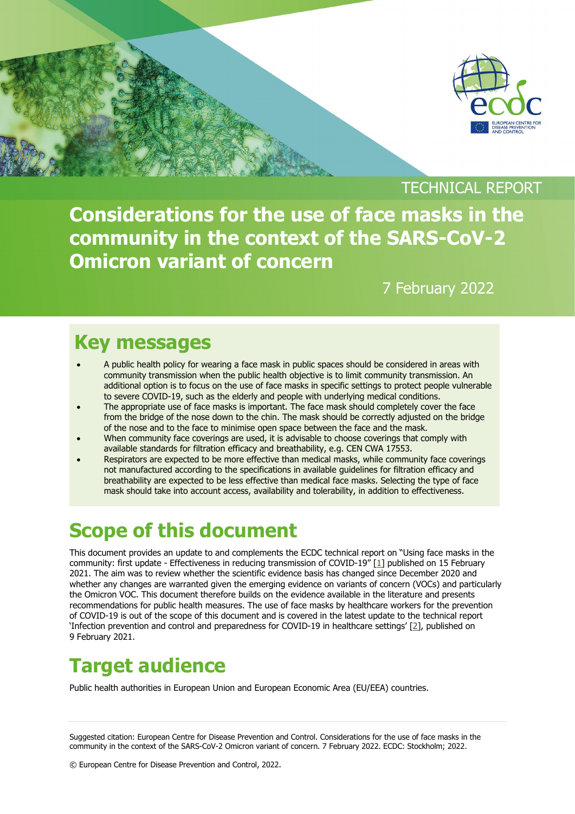

#### TECHNICAL REPORT

**Considerations for the use of face masks in the community in the context of the SARS-CoV-2 Omicron variant of concern**

#### 7 February 2022

### **Key messages**

- A public health policy for wearing a face mask in public spaces should be considered in areas with community transmission when the public health objective is to limit community transmission. An additional option is to focus on the use of face masks in specific settings to protect people vulnerable to severe COVID-19, such as the elderly and people with underlying medical conditions.
- The appropriate use of face masks is important. The face mask should completely cover the face from the bridge of the nose down to the chin. The mask should be correctly adjusted on the bridge of the nose and to the face to minimise open space between the face and the mask.
- When community face coverings are used, it is advisable to choose coverings that comply with available standards for filtration efficacy and breathability, e.g. CEN CWA 17553.
- Respirators are expected to be more effective than medical masks, while community face coverings not manufactured according to the specifications in available guidelines for filtration efficacy and breathability are expected to be less effective than medical face masks. Selecting the type of face mask should take into account access, availability and tolerability, in addition to effectiveness.

# **Scope of this document**

This document provides an update to and complements the ECDC technical report on "Using face masks in the community: first update - Effectiveness in reducing transmission of COVID-19" [\[1\]](#page-5-0) published on 15 February 2021. The aim was to review whether the scientific evidence basis has changed since December 2020 and whether any changes are warranted given the emerging evidence on variants of concern (VOCs) and particularly the Omicron VOC. This document therefore builds on the evidence available in the literature and presents recommendations for public health measures. The use of face masks by healthcare workers for the prevention of COVID-19 is out of the scope of this document and is covered in the latest update to the technical report 'Infection prevention and control and preparedness for COVID-19 in healthcare settings' [\[2\]](#page-5-1), published on 9 February 2021.

# **Target audience**

Public health authorities in European Union and European Economic Area (EU/EEA) countries.

Suggested citation: European Centre for Disease Prevention and Control. Considerations for the use of face masks in the community in the context of the SARS-CoV-2 Omicron variant of concern. 7 February 2022. ECDC: Stockholm; 2022.

© European Centre for Disease Prevention and Control, 2022.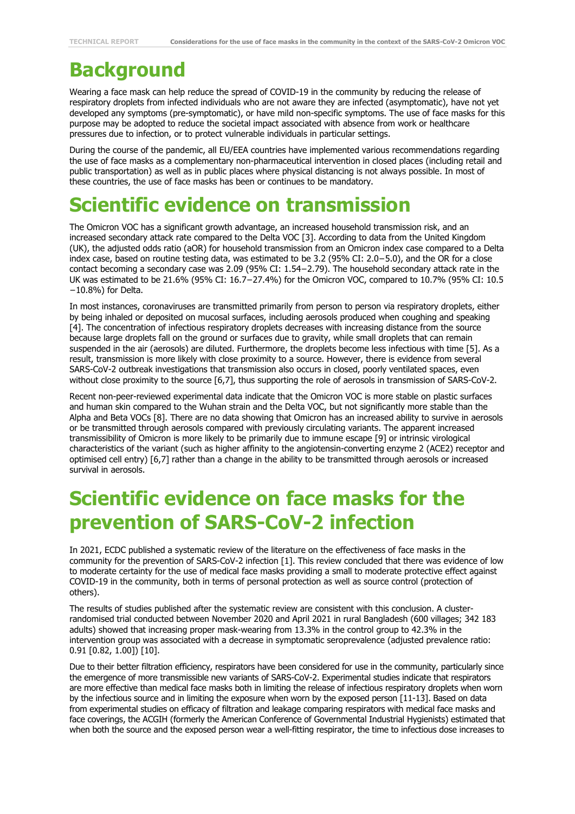#### **Background**

Wearing a face mask can help reduce the spread of COVID-19 in the community by reducing the release of respiratory droplets from infected individuals who are not aware they are infected (asymptomatic), have not yet developed any symptoms (pre-symptomatic), or have mild non-specific symptoms. The use of face masks for this purpose may be adopted to reduce the societal impact associated with absence from work or healthcare pressures due to infection, or to protect vulnerable individuals in particular settings.

During the course of the pandemic, all EU/EEA countries have implemented various recommendations regarding the use of face masks as a complementary non-pharmaceutical intervention in closed places (including retail and public transportation) as well as in public places where physical distancing is not always possible. In most of these countries, the use of face masks has been or continues to be mandatory.

# **Scientific evidence on transmission**

The Omicron VOC has a significant growth advantage, an increased household transmission risk, and an increased secondary attack rate compared to the Delta VOC [\[3\]](#page-5-2). According to data from the United Kingdom (UK), the adjusted odds ratio (aOR) for household transmission from an Omicron index case compared to a Delta index case, based on routine testing data, was estimated to be 3.2 (95% CI: 2.0−5.0), and the OR for a close contact becoming a secondary case was 2.09 (95% CI: 1.54−2.79). The household secondary attack rate in the UK was estimated to be 21.6% (95% CI: 16.7−27.4%) for the Omicron VOC, compared to 10.7% (95% CI: 10.5 −10.8%) for Delta.

In most instances, coronaviruses are transmitted primarily from person to person via respiratory droplets, either by being inhaled or deposited on mucosal surfaces, including aerosols produced when coughing and speaking [\[4\]](#page-5-3). The concentration of infectious respiratory droplets decreases with increasing distance from the source because large droplets fall on the ground or surfaces due to gravity, while small droplets that can remain suspended in the air (aerosols) are diluted. Furthermore, the droplets become less infectious with time [\[5\]](#page-5-4). As a result, transmission is more likely with close proximity to a source. However, there is evidence from several SARS-CoV-2 outbreak investigations that transmission also occurs in closed, poorly ventilated spaces, even without close proximity to the source [\[6](#page-5-5)[,7\]](#page-5-6), thus supporting the role of aerosols in transmission of SARS-CoV-2.

Recent non-peer-reviewed experimental data indicate that the Omicron VOC is more stable on plastic surfaces and human skin compared to the Wuhan strain and the Delta VOC, but not significantly more stable than the Alpha and Beta VOCs [[8](#page-5-7)]. There are no data showing that Omicron has an increased ability to survive in aerosols or be transmitted through aerosols compared with previously circulating variants. The apparent increased transmissibility of Omicron is more likely to be primarily due to immune escape [\[9\]](#page-5-8) or intrinsic virological characteristics of the variant (such as higher affinity to the angiotensin-converting enzyme 2 (ACE2) receptor and optimised cell entry) [\[6](#page-5-5)[,7\]](#page-5-6) rather than a change in the ability to be transmitted through aerosols or increased survival in aerosols.

#### **Scientific evidence on face masks for the prevention of SARS-CoV-2 infection**

In 2021, ECDC published a systematic review of the literature on the effectiveness of face masks in the community for the prevention of SARS-CoV-2 infection [\[1\]](#page-5-0). This review concluded that there was evidence of low to moderate certainty for the use of medical face masks providing a small to moderate protective effect against COVID-19 in the community, both in terms of personal protection as well as source control (protection of others).

The results of studies published after the systematic review are consistent with this conclusion. A clusterrandomised trial conducted between November 2020 and April 2021 in rural Bangladesh (600 villages; 342 183 adults) showed that increasing proper mask-wearing from 13.3% in the control group to 42.3% in the intervention group was associated with a decrease in symptomatic seroprevalence (adjusted prevalence ratio: 0.91 [0.82, 1.00]) [\[10\]](#page-5-9).

Due to their better filtration efficiency, respirators have been considered for use in the community, particularly since the emergence of more transmissible new variants of SARS-CoV-2. Experimental studies indicate that respirators are more effective than medical face masks both in limiting the release of infectious respiratory droplets when worn by the infectious source and in limiting the exposure when worn by the exposed person [\[11-13\]](#page-5-10). Based on data from experimental studies on efficacy of filtration and leakage comparing respirators with medical face masks and face coverings, the ACGIH (formerly the American Conference of Governmental Industrial Hygienists) estimated that when both the source and the exposed person wear a well-fitting respirator, the time to infectious dose increases to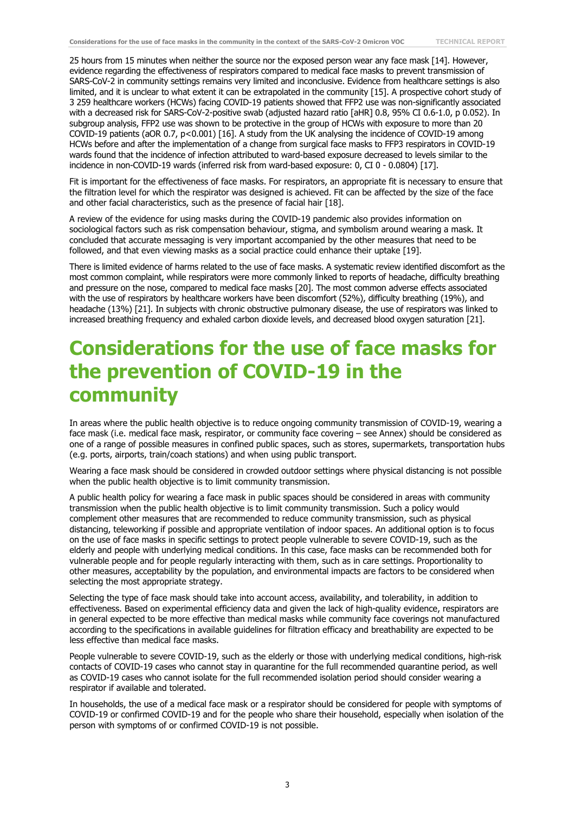25 hours from 15 minutes when neither the source nor the exposed person wear any face mask [\[14\]](#page-5-11). However, evidence regarding the effectiveness of respirators compared to medical face masks to prevent transmission of SARS-CoV-2 in community settings remains very limited and inconclusive. Evidence from healthcare settings is also limited, and it is unclear to what extent it can be extrapolated in the community [\[15\]](#page-5-12). A prospective cohort study of 3 259 healthcare workers (HCWs) facing COVID-19 patients showed that FFP2 use was non-significantly associated with a decreased risk for SARS-CoV-2-positive swab (adjusted hazard ratio [aHR] 0.8, 95% CI 0.6-1.0, p 0.052). In subgroup analysis, FFP2 use was shown to be protective in the group of HCWs with exposure to more than 20 COVID-19 patients (aOR 0.7, p<0.001) [\[16\]](#page-5-13). A study from the UK analysing the incidence of COVID-19 among HCWs before and after the implementation of a change from surgical face masks to FFP3 respirators in COVID-19 wards found that the incidence of infection attributed to ward-based exposure decreased to levels similar to the incidence in non-COVID-19 wards (inferred risk from ward-based exposure: 0, CI 0 - 0.0804) [\[17\]](#page-5-14).

Fit is important for the effectiveness of face masks. For respirators, an appropriate fit is necessary to ensure that the filtration level for which the respirator was designed is achieved. Fit can be affected by the size of the face and other facial characteristics, such as the presence of facial hair [[18](#page-5-15)].

A review of the evidence for using masks during the COVID-19 pandemic also provides information on sociological factors such as risk compensation behaviour, stigma, and symbolism around wearing a mask. It concluded that accurate messaging is very important accompanied by the other measures that need to be followed, and that even viewing masks as a social practice could enhance their uptake [\[19\]](#page-5-16).

There is limited evidence of harms related to the use of face masks. A systematic review identified discomfort as the most common complaint, while respirators were more commonly linked to reports of headache, difficulty breathing and pressure on the nose, compared to medical face masks [\[20\]](#page-5-17). The most common adverse effects associated with the use of respirators by healthcare workers have been discomfort (52%), difficulty breathing (19%), and headache (13%) [\[21\]](#page-5-18). In subjects with chronic obstructive pulmonary disease, the use of respirators was linked to increased breathing frequency and exhaled carbon dioxide levels, and decreased blood oxygen saturation [\[21\]](#page-5-18).

#### **Considerations for the use of face masks for the prevention of COVID-19 in the community**

In areas where the public health objective is to reduce ongoing community transmission of COVID-19, wearing a face mask (i.e. medical face mask, respirator, or community face covering – see Annex) should be considered as one of a range of possible measures in confined public spaces, such as stores, supermarkets, transportation hubs (e.g. ports, airports, train/coach stations) and when using public transport.

Wearing a face mask should be considered in crowded outdoor settings where physical distancing is not possible when the public health objective is to limit community transmission.

A public health policy for wearing a face mask in public spaces should be considered in areas with community transmission when the public health objective is to limit community transmission. Such a policy would complement other measures that are recommended to reduce community transmission, such as physical distancing, teleworking if possible and appropriate ventilation of indoor spaces. An additional option is to focus on the use of face masks in specific settings to protect people vulnerable to severe COVID-19, such as the elderly and people with underlying medical conditions. In this case, face masks can be recommended both for vulnerable people and for people regularly interacting with them, such as in care settings. Proportionality to other measures, acceptability by the population, and environmental impacts are factors to be considered when selecting the most appropriate strategy.

Selecting the type of face mask should take into account access, availability, and tolerability, in addition to effectiveness. Based on experimental efficiency data and given the lack of high-quality evidence, respirators are in general expected to be more effective than medical masks while community face coverings not manufactured according to the specifications in available guidelines for filtration efficacy and breathability are expected to be less effective than medical face masks.

People vulnerable to severe COVID-19, such as the elderly or those with underlying medical conditions, high-risk contacts of COVID-19 cases who cannot stay in quarantine for the full recommended quarantine period, as well as COVID-19 cases who cannot isolate for the full recommended isolation period should consider wearing a respirator if available and tolerated.

In households, the use of a medical face mask or a respirator should be considered for people with symptoms of COVID-19 or confirmed COVID-19 and for the people who share their household, especially when isolation of the person with symptoms of or confirmed COVID-19 is not possible.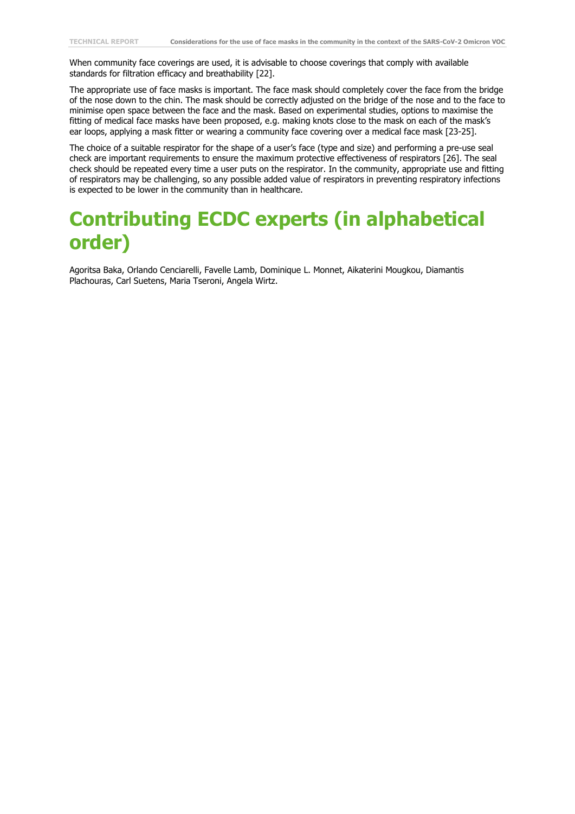When community face coverings are used, it is advisable to choose coverings that comply with available standards for filtration efficacy and breathability [22].

The appropriate use of face masks is important. The face mask should completely cover the face from the bridge of the nose down to the chin. The mask should be correctly adjusted on the bridge of the nose and to the face to minimise open space between the face and the mask. Based on experimental studies, options to maximise the fitting of medical face masks have been proposed, e.g. making knots close to the mask on each of the mask's ear loops, applying a mask fitter or wearing a community face covering over a medical face mask [\[23-25\]](#page-6-0).

The choice of a suitable respirator for the shape of a user's face (type and size) and performing a pre-use seal check are important requirements to ensure the maximum protective effectiveness of respirators [\[26\]](#page-6-1). The seal check should be repeated every time a user puts on the respirator. In the community, appropriate use and fitting of respirators may be challenging, so any possible added value of respirators in preventing respiratory infections is expected to be lower in the community than in healthcare.

#### **Contributing ECDC experts (in alphabetical order)**

Agoritsa Baka, Orlando Cenciarelli, Favelle Lamb, Dominique L. Monnet, Aikaterini Mougkou, Diamantis Plachouras, Carl Suetens, Maria Tseroni, Angela Wirtz.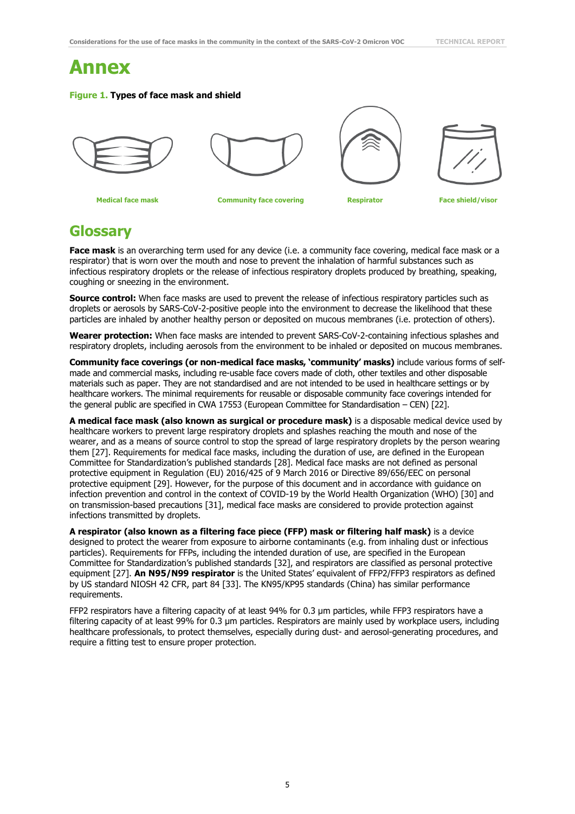#### **Annex**

#### **Figure 1. Types of face mask and shield**









**Medical face mask Community face covering Respirator Face shield/visor**

#### **Glossary**

**Face mask** is an overarching term used for any device (i.e. a community face covering, medical face mask or a respirator) that is worn over the mouth and nose to prevent the inhalation of harmful substances such as infectious respiratory droplets or the release of infectious respiratory droplets produced by breathing, speaking, coughing or sneezing in the environment.

**Source control:** When face masks are used to prevent the release of infectious respiratory particles such as droplets or aerosols by SARS-CoV-2-positive people into the environment to decrease the likelihood that these particles are inhaled by another healthy person or deposited on mucous membranes (i.e. protection of others).

**Wearer protection:** When face masks are intended to prevent SARS-CoV-2-containing infectious splashes and respiratory droplets, including aerosols from the environment to be inhaled or deposited on mucous membranes.

**Community face coverings (or non-medical face masks, 'community' masks)** include various forms of selfmade and commercial masks, including re-usable face covers made of cloth, other textiles and other disposable materials such as paper. They are not standardised and are not intended to be used in healthcare settings or by healthcare workers. The minimal requirements for reusable or disposable community face coverings intended for the general public are specified in CWA 17553 (European Committee for Standardisation – CEN) [22].

**A medical face mask (also known as surgical or procedure mask)** is a disposable medical device used by healthcare workers to prevent large respiratory droplets and splashes reaching the mouth and nose of the wearer, and as a means of source control to stop the spread of large respiratory droplets by the person wearing them [\[27\]](#page-6-2). Requirements for medical face masks, including the duration of use, are defined in the European Committee for Standardization's published standards [[28](#page-6-3)]. Medical face masks are not defined as personal protective equipment in [Regulation \(EU\) 2016/425 of 9 March 2016](https://eur-lex.europa.eu/legal-content/EN/TXT/?uri=CELEX:32016R0425) or Directive 89/656/EEC on personal protective equipment [\[29\]](#page-6-4). However, for the purpose of this document and in accordance with guidance on infection prevention and control in the context of COVID-19 by the World Health Organization (WHO) [\[30\]](#page-6-5) and on transmission-based precautions [\[31\]](#page-6-6), medical face masks are considered to provide protection against infections transmitted by droplets.

**A respirator (also known as a filtering face piece (FFP) mask or filtering half mask)** is a device designed to protect the wearer from exposure to airborne contaminants (e.g. from inhaling dust or infectious particles). Requirements for FFPs, including the intended duration of use, are specified in the European Committee for Standardization's published standards [\[32\]](#page-6-7), and respirators are classified as personal protective equipment [\[27\]](#page-6-2). **An N95/N99 respirator** is the United States' equivalent of FFP2/FFP3 respirators as defined by US standard NIOSH 42 CFR, part 84 [\[33\]](#page-6-8). The KN95/KP95 standards (China) has similar performance requirements.

FFP2 respirators have a filtering capacity of at least 94% for 0.3 μm particles, while FFP3 respirators have a filtering capacity of at least 99% for 0.3 μm particles. Respirators are mainly used by workplace users, including healthcare professionals, to protect themselves, especially during dust- and aerosol-generating procedures, and require a fitting test to ensure proper protection.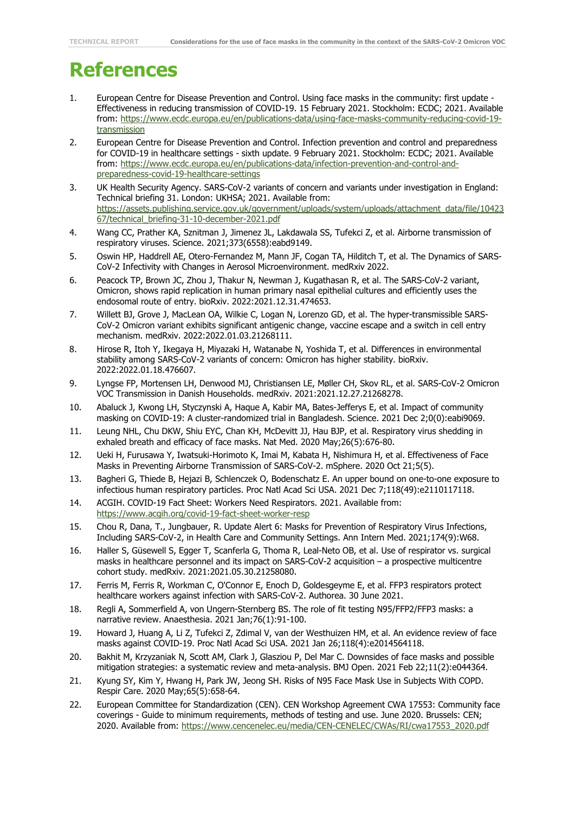#### **References**

- <span id="page-5-0"></span>1. European Centre for Disease Prevention and Control. Using face masks in the community: first update - Effectiveness in reducing transmission of COVID-19. 15 February 2021. Stockholm: ECDC; 2021. Available from: [https://www.ecdc.europa.eu/en/publications-data/using-face-masks-community-reducing-covid-19](https://www.ecdc.europa.eu/en/publications-data/using-face-masks-community-reducing-covid-19-transmission) [transmission](https://www.ecdc.europa.eu/en/publications-data/using-face-masks-community-reducing-covid-19-transmission)
- <span id="page-5-1"></span>2. European Centre for Disease Prevention and Control. Infection prevention and control and preparedness for COVID-19 in healthcare settings - sixth update. 9 February 2021. Stockholm: ECDC; 2021. Available from: [https://www.ecdc.europa.eu/en/publications-data/infection-prevention-and-control-and](https://www.ecdc.europa.eu/en/publications-data/infection-prevention-and-control-and-preparedness-covid-19-healthcare-settings)[preparedness-covid-19-healthcare-settings](https://www.ecdc.europa.eu/en/publications-data/infection-prevention-and-control-and-preparedness-covid-19-healthcare-settings)
- <span id="page-5-2"></span>3. UK Health Security Agency. SARS-CoV-2 variants of concern and variants under investigation in England: Technical briefing 31. London: UKHSA; 2021. Available from: [https://assets.publishing.service.gov.uk/government/uploads/system/uploads/attachment\\_data/file/10423](https://assets.publishing.service.gov.uk/government/uploads/system/uploads/attachment_data/file/1042367/technical_briefing-31-10-december-2021.pdf) [67/technical\\_briefing-31-10-december-2021.pdf](https://assets.publishing.service.gov.uk/government/uploads/system/uploads/attachment_data/file/1042367/technical_briefing-31-10-december-2021.pdf)
- <span id="page-5-3"></span>4. Wang CC, Prather KA, Sznitman J, Jimenez JL, Lakdawala SS, Tufekci Z, et al. Airborne transmission of respiratory viruses. Science. 2021;373(6558):eabd9149.
- <span id="page-5-4"></span>5. Oswin HP, Haddrell AE, Otero-Fernandez M, Mann JF, Cogan TA, Hilditch T, et al. The Dynamics of SARS-CoV-2 Infectivity with Changes in Aerosol Microenvironment. medRxiv 2022.
- <span id="page-5-5"></span>6. Peacock TP, Brown JC, Zhou J, Thakur N, Newman J, Kugathasan R, et al. The SARS-CoV-2 variant, Omicron, shows rapid replication in human primary nasal epithelial cultures and efficiently uses the endosomal route of entry. bioRxiv. 2022:2021.12.31.474653.
- <span id="page-5-6"></span>7. Willett BJ, Grove J, MacLean OA, Wilkie C, Logan N, Lorenzo GD, et al. The hyper-transmissible SARS-CoV-2 Omicron variant exhibits significant antigenic change, vaccine escape and a switch in cell entry mechanism. medRxiv. 2022:2022.01.03.21268111.
- <span id="page-5-7"></span>8. Hirose R, Itoh Y, Ikegaya H, Miyazaki H, Watanabe N, Yoshida T, et al. Differences in environmental stability among SARS-CoV-2 variants of concern: Omicron has higher stability. bioRxiv. 2022:2022.01.18.476607.
- <span id="page-5-8"></span>9. Lyngse FP, Mortensen LH, Denwood MJ, Christiansen LE, Møller CH, Skov RL, et al. SARS-CoV-2 Omicron VOC Transmission in Danish Households. medRxiv. 2021:2021.12.27.21268278.
- <span id="page-5-9"></span>10. Abaluck J, Kwong LH, Styczynski A, Haque A, Kabir MA, Bates-Jefferys E, et al. Impact of community masking on COVID-19: A cluster-randomized trial in Bangladesh. Science. 2021 Dec 2;0(0):eabi9069.
- <span id="page-5-10"></span>11. Leung NHL, Chu DKW, Shiu EYC, Chan KH, McDevitt JJ, Hau BJP, et al. Respiratory virus shedding in exhaled breath and efficacy of face masks. Nat Med. 2020 May;26(5):676-80.
- 12. Ueki H, Furusawa Y, Iwatsuki-Horimoto K, Imai M, Kabata H, Nishimura H, et al. Effectiveness of Face Masks in Preventing Airborne Transmission of SARS-CoV-2. mSphere. 2020 Oct 21;5(5).
- 13. Bagheri G, Thiede B, Hejazi B, Schlenczek O, Bodenschatz E. An upper bound on one-to-one exposure to infectious human respiratory particles. Proc Natl Acad Sci USA. 2021 Dec 7;118(49):e2110117118.
- <span id="page-5-11"></span>14. ACGIH. COVID-19 Fact Sheet: Workers Need Respirators. 2021. Available from: [https://www.acgih.org/covid-19-fact-sheet-worker-resp](https://www.acgih.org/covid-19-fact-sheet-worker-resp/)
- <span id="page-5-12"></span>15. Chou R, Dana, T., Jungbauer, R. Update Alert 6: Masks for Prevention of Respiratory Virus Infections, Including SARS-CoV-2, in Health Care and Community Settings. Ann Intern Med. 2021;174(9):W68.
- <span id="page-5-13"></span>16. Haller S, Güsewell S, Egger T, Scanferla G, Thoma R, Leal-Neto OB, et al. Use of respirator vs. surgical masks in healthcare personnel and its impact on SARS-CoV-2 acquisition – a prospective multicentre cohort study. medRxiv. 2021:2021.05.30.21258080.
- <span id="page-5-14"></span>17. Ferris M, Ferris R, Workman C, O'Connor E, Enoch D, Goldesgeyme E, et al. FFP3 respirators protect healthcare workers against infection with SARS-CoV-2. Authorea. 30 June 2021.
- <span id="page-5-15"></span>18. Regli A, Sommerfield A, von Ungern-Sternberg BS. The role of fit testing N95/FFP2/FFP3 masks: a narrative review. Anaesthesia. 2021 Jan;76(1):91-100.
- <span id="page-5-16"></span>19. Howard J, Huang A, Li Z, Tufekci Z, Zdimal V, van der Westhuizen HM, et al. An evidence review of face masks against COVID-19. Proc Natl Acad Sci USA. 2021 Jan 26;118(4):e2014564118.
- <span id="page-5-17"></span>20. Bakhit M, Krzyzaniak N, Scott AM, Clark J, Glasziou P, Del Mar C. Downsides of face masks and possible mitigation strategies: a systematic review and meta-analysis. BMJ Open. 2021 Feb 22;11(2):e044364.
- <span id="page-5-18"></span>21. Kyung SY, Kim Y, Hwang H, Park JW, Jeong SH. Risks of N95 Face Mask Use in Subjects With COPD. Respir Care. 2020 May;65(5):658-64.
- 22. European Committee for Standardization (CEN). CEN Workshop Agreement CWA 17553: Community face coverings - Guide to minimum requirements, methods of testing and use. June 2020. Brussels: CEN; 2020. Available from: [https://www.cencenelec.eu/media/CEN-CENELEC/CWAs/RI/cwa17553\\_2020.pdf](https://www.cencenelec.eu/media/CEN-CENELEC/CWAs/RI/cwa17553_2020.pdf)